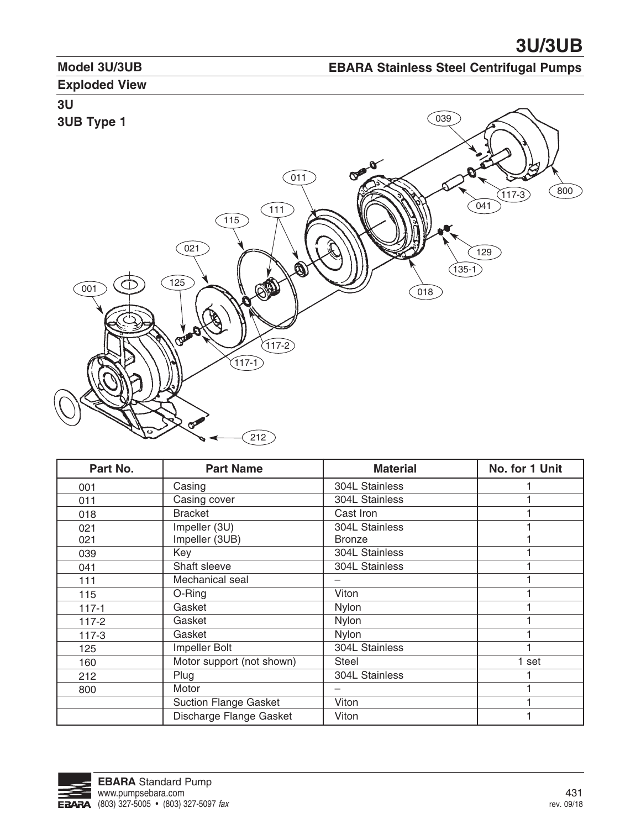#### **Model 3U/3UB**

### **EBARA Stainless Steel Centrifugal Pumps**

### **Exploded View**

# **3U**



| Part No.  | <b>Part Name</b>             | <b>Material</b> | No. for 1 Unit |
|-----------|------------------------------|-----------------|----------------|
| 001       | Casing                       | 304L Stainless  |                |
| 011       | Casing cover                 | 304L Stainless  |                |
| 018       | <b>Bracket</b>               | Cast Iron       |                |
| 021       | Impeller (3U)                | 304L Stainless  |                |
| 021       | Impeller (3UB)               | <b>Bronze</b>   |                |
| 039       | Key                          | 304L Stainless  |                |
| 041       | Shaft sleeve                 | 304L Stainless  |                |
| 111       | Mechanical seal              |                 |                |
| 115       | O-Ring                       | Viton           |                |
| $117 - 1$ | Gasket                       | Nylon           |                |
| $117 - 2$ | Gasket                       | Nylon           |                |
| $117-3$   | Gasket                       | Nylon           |                |
| 125       | Impeller Bolt                | 304L Stainless  |                |
| 160       | Motor support (not shown)    | Steel           | 1 set          |
| 212       | Plug                         | 304L Stainless  |                |
| 800       | Motor                        |                 |                |
|           | <b>Suction Flange Gasket</b> | Viton           |                |
|           | Discharge Flange Gasket      | Viton           |                |